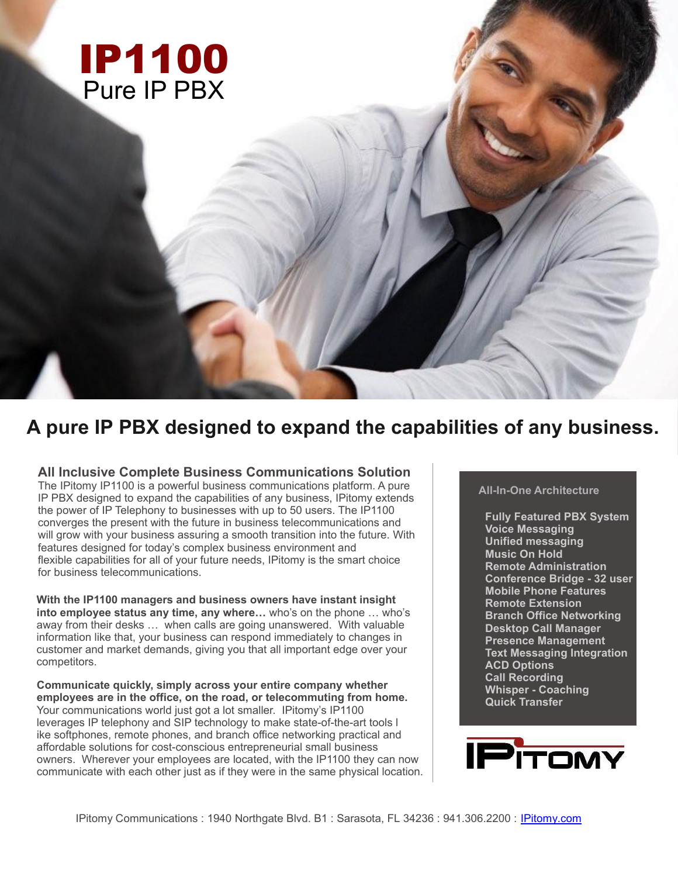

# **A pure IP PBX designed to expand the capabilities of any business.**

## **All Inclusive Complete Business Communications Solution**

The IPitomy IP1100 is a powerful business communications platform. A pure IP PBX designed to expand the capabilities of any business, IPitomy extends the power of IP Telephony to businesses with up to 50 users. The IP1100 converges the present with the future in business telecommunications and will grow with your business assuring a smooth transition into the future. With features designed for today's complex business environment and flexible capabilities for all of your future needs, IPitomy is the smart choice for business telecommunications.

**With the IP1100 managers and business owners have instant insight into employee status any time, any where…** who's on the phone … who's away from their desks … when calls are going unanswered. With valuable information like that, your business can respond immediately to changes in customer and market demands, giving you that all important edge over your competitors.

**Communicate quickly, simply across your entire company whether employees are in the office, on the road, or telecommuting from home.** Your communications world just got a lot smaller. IPitomy's IP1100 leverages IP telephony and SIP technology to make state-of-the-art tools l ike softphones, remote phones, and branch office networking practical and affordable solutions for cost-conscious entrepreneurial small business owners. Wherever your employees are located, with the IP1100 they can now communicate with each other just as if they were in the same physical location.

## **All-In-One Architecture**

**Fully Featured PBX System Voice Messaging Unified messaging Music On Hold Remote Administration Conference Bridge - 32 user Mobile Phone Features Remote Extension Branch Office Networking Desktop Call Manager Presence Management Text Messaging Integration ACD Options Call Recording Whisper - Coaching Quick Transfer**

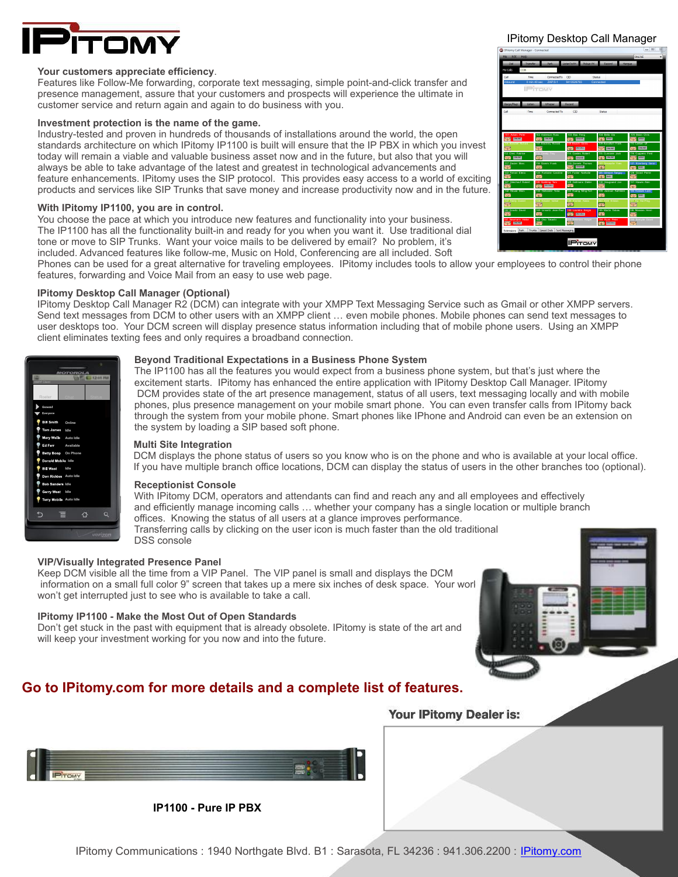

### **Your customers appreciate efficiency**.

Features like Follow-Me forwarding, corporate text messaging, simple point-and-click transfer and presence management, assure that your customers and prospects will experience the ultimate in customer service and return again and again to do business with you.

### **Investment protection is the name of the game.**

Industry-tested and proven in hundreds of thousands of installations around the world, the open standards architecture on which IPitomy IP1100 is built will ensure that the IP PBX in which you invest today will remain a viable and valuable business asset now and in the future, but also that you will always be able to take advantage of the latest and greatest in technological advancements and feature enhancements. IPitomy uses the SIP protocol. This provides easy access to a world of exciting products and services like SIP Trunks that save money and increase productivity now and in the future.

### **With IPitomy IP1100, you are in control.**

You choose the pace at which you introduce new features and functionality into your business. The IP1100 has all the functionality built-in and ready for you when you want it. Use traditional dial tone or move to SIP Trunks. Want your voice mails to be delivered by email? No problem, it's included. Advanced features like follow-me, Music on Hold, Conferencing are all included. Soft

IPitomy Desktop Call Manager



Phones can be used for a great alternative for traveling employees. IPitomy includes tools to allow your employees to control their phone features, forwarding and Voice Mail from an easy to use web page.

### **IPitomy Desktop Call Manager (Optional)**

IPitomy Desktop Call Manager R2 (DCM) can integrate with your XMPP Text Messaging Service such as Gmail or other XMPP servers. Send text messages from DCM to other users with an XMPP client … even mobile phones. Mobile phones can send text messages to user desktops too. Your DCM screen will display presence status information including that of mobile phone users. Using an XMPP client eliminates texting fees and only requires a broadband connection.



### **Beyond Traditional Expectations in a Business Phone System**

The IP1100 has all the features you would expect from a business phone system, but that's just where the excitement starts. IPitomy has enhanced the entire application with IPitomy Desktop Call Manager. IPitomy DCM provides state of the art presence management, status of all users, text messaging locally and with mobile phones, plus presence management on your mobile smart phone. You can even transfer calls from IPitomy back through the system from your mobile phone. Smart phones like IPhone and Android can even be an extension on the system by loading a SIP based soft phone.

### **Multi Site Integration**

DCM displays the phone status of users so you know who is on the phone and who is available at your local office. If you have multiple branch office locations, DCM can display the status of users in the other branches too (optional).

### **Receptionist Console**

With IPitomy DCM, operators and attendants can find and reach any and all employees and effectively and efficiently manage incoming calls … whether your company has a single location or multiple branch offices. Knowing the status of all users at a glance improves performance. Transferring calls by clicking on the user icon is much faster than the old traditional

DSS console

### **VIP/Visually Integrated Presence Panel**

Keep DCM visible all the time from a VIP Panel. The VIP panel is small and displays the DCM information on a small full color 9" screen that takes up a mere six inches of desk space. Your work won't get interrupted just to see who is available to take a call.

### **IPitomy IP1100 - Make the Most Out of Open Standards**

Don't get stuck in the past with equipment that is already obsolete. IPitomy is state of the art and will keep your investment working for you now and into the future.

# **Go to IPitomy.com for more details and a complete list of features.**



**IP1100 - Pure IP PBX**

Your IPitomy Dealer is: